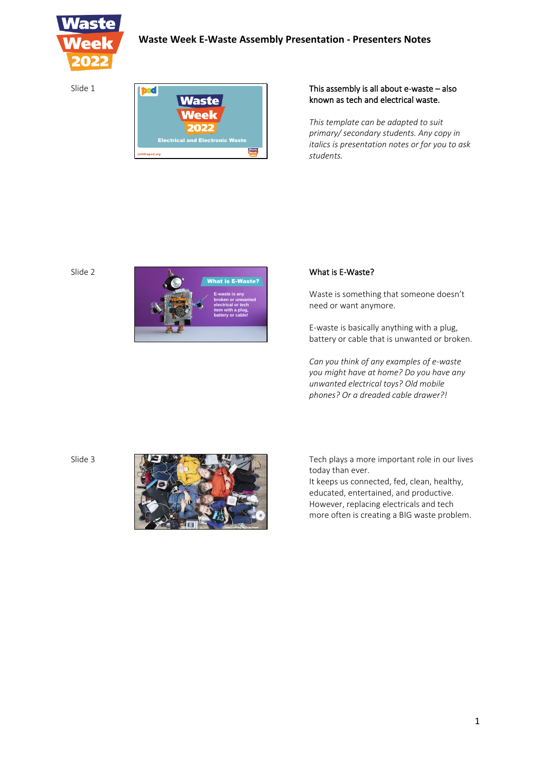

Slide 1

| Waste                                  |  |
|----------------------------------------|--|
| <b>Week</b>                            |  |
| 2022                                   |  |
| <b>Electrical and Electronic Waste</b> |  |
| jointhepod.org                         |  |

## This assembly is all about e-waste – also known as tech and electrical waste.

*This template can be adapted to suit primary/ secondary students. Any copy in italics is presentation notes or for you to ask students.*

#### Slide 2



## What is E-Waste?

Waste is something that someone doesn't need or want anymore.

E-waste is basically anything with a plug, battery or cable that is unwanted or broken.

*Can you think of any examples of e-waste you might have at home? Do you have any unwanted electrical toys? Old mobile phones? Or a dreaded cable drawer?!*

Slide 3



Tech plays a more important role in our lives today than ever.

It keeps us connected, fed, clean, healthy, educated, entertained, and productive. However, replacing electricals and tech more often is creating a BIG waste problem.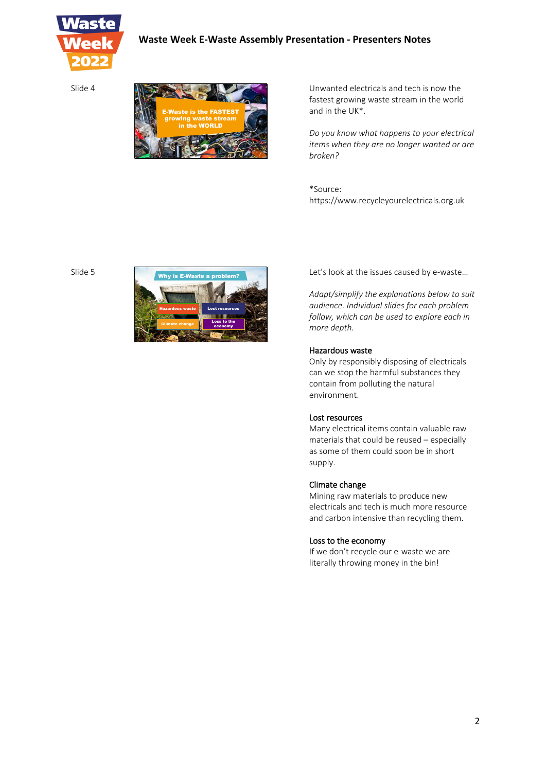

Slide 4



Unwanted electricals and tech is now the fastest growing waste stream in the world and in the UK\*.

*Do you know what happens to your electrical items when they are no longer wanted or are broken?*

\*Source: https://www.recycleyourelectricals.org.uk

Slide 5



Let's look at the issues caused by e-waste…

*Adapt/simplify the explanations below to suit audience. Individual slides for each problem follow, which can be used to explore each in more depth.* 

#### Hazardous waste

Only by responsibly disposing of electricals can we stop the harmful substances they contain from polluting the natural environment.

#### Lost resources

Many electrical items contain valuable raw materials that could be reused – especially as some of them could soon be in short supply.

### Climate change

Mining raw materials to produce new electricals and tech is much more resource and carbon intensive than recycling them.

#### Loss to the economy

If we don't recycle our e-waste we are literally throwing money in the bin!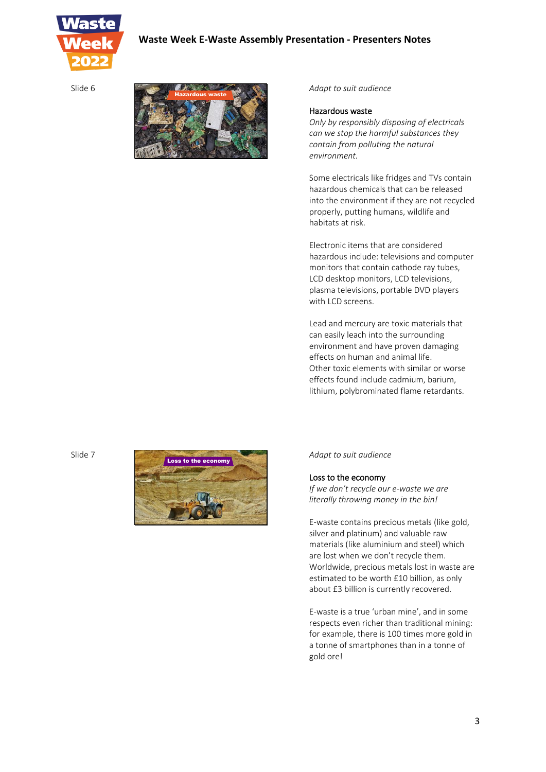



*Adapt to suit audience*

#### Hazardous waste

*Only by responsibly disposing of electricals can we stop the harmful substances they contain from polluting the natural environment.* 

Some electricals like fridges and TVs contain hazardous chemicals that can be released into the environment if they are not recycled properly, putting humans, wildlife and habitats at risk.

Electronic items that are considered hazardous include: televisions and computer monitors that contain cathode ray tubes, LCD desktop monitors, LCD televisions, plasma televisions, portable DVD players with LCD screens.

Lead and mercury are toxic materials that can easily leach into the surrounding environment and have proven damaging effects on human and animal life. Other toxic elements with similar or worse effects found include cadmium, barium, lithium, polybrominated flame retardants.

Slide 7



*Adapt to suit audience*

Loss to the economy

*If we don't recycle our e-waste we are literally throwing money in the bin!* 

E-waste contains precious metals (like gold, silver and platinum) and valuable raw materials (like aluminium and steel) which are lost when we don't recycle them. Worldwide, precious metals lost in waste are estimated to be worth £10 billion, as only about £3 billion is currently recovered.

E-waste is a true 'urban mine', and in some respects even richer than traditional mining: for example, there is 100 times more gold in a tonne of smartphones than in a tonne of gold ore!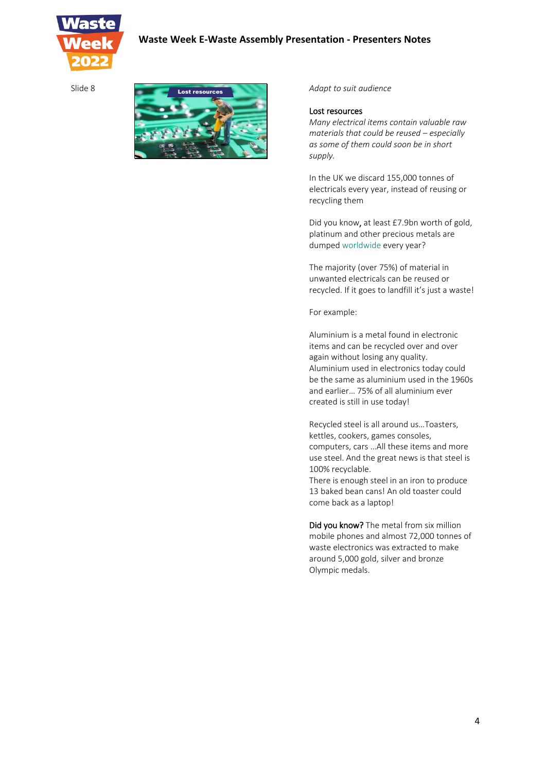



*Adapt to suit audience*

#### Lost resources

*Many electrical items contain valuable raw materials that could be reused – especially as some of them could soon be in short supply.* 

In the UK we discard 155,000 tonnes of electricals every year, instead of reusing or recycling them

Did you know, at least £7.9bn worth of gold, platinum and other precious metals are dumped worldwide every year?

The majority (over 75%) of material in unwanted electricals can be reused or recycled. If it goes to landfill it's just a waste!

For example:

Aluminium is a metal found in electronic items and can be recycled over and over again without losing any quality. Aluminium used in electronics today could be the same as aluminium used in the 1960s and earlier… 75% of all aluminium ever created is still in use today!

Recycled steel is all around us…Toasters, kettles, cookers, games consoles, computers, cars …All these items and more use steel. And the great news is that steel is 100% recyclable.

There is enough steel in an iron to produce 13 baked bean cans! An old toaster could come back as a laptop!

Did you know? The metal from six million mobile phones and almost 72,000 tonnes of waste electronics was extracted to make around 5,000 gold, silver and bronze Olympic medals.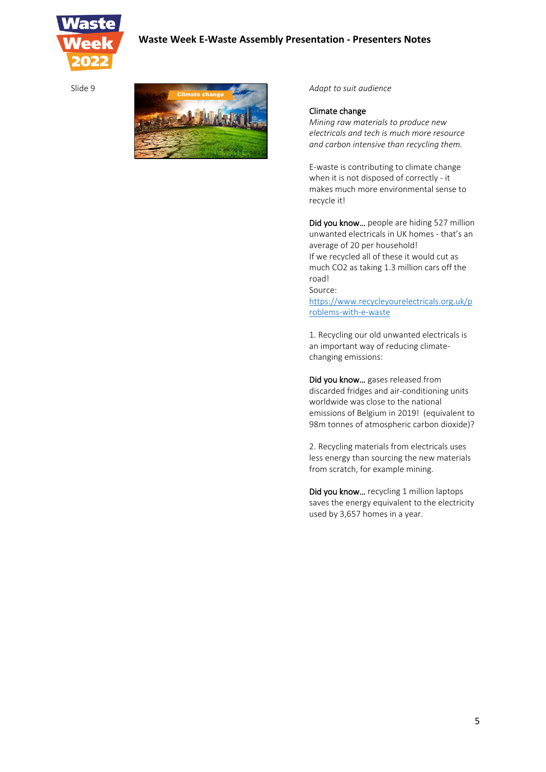

Slide 9



*Adapt to suit audience*

#### Climate change

*Mining raw materials to produce new electricals and tech is much more resource and carbon intensive than recycling them.*

E-waste is contributing to climate change when it is not disposed of correctly - it makes much more environmental sense to recycle it!

Did you know... people are hiding 527 million unwanted electricals in UK homes - that's an average of 20 per household! If we recycled all of these it would cut as much CO2 as taking 1.3 million cars off the road!

Source:

https://www.recycleyourelectricals.org.uk/p roblems-with-e-waste

1. Recycling our old unwanted electricals is an important way of reducing climatechanging emissions:

Did you know… gases released from discarded fridges and air-conditioning units worldwide was close to the national emissions of Belgium in 2019! (equivalent to 98m tonnes of atmospheric carbon dioxide)?

2. Recycling materials from electricals uses less energy than sourcing the new materials from scratch, for example mining.

Did you know… recycling 1 million laptops saves the energy equivalent to the electricity used by 3,657 homes in a year.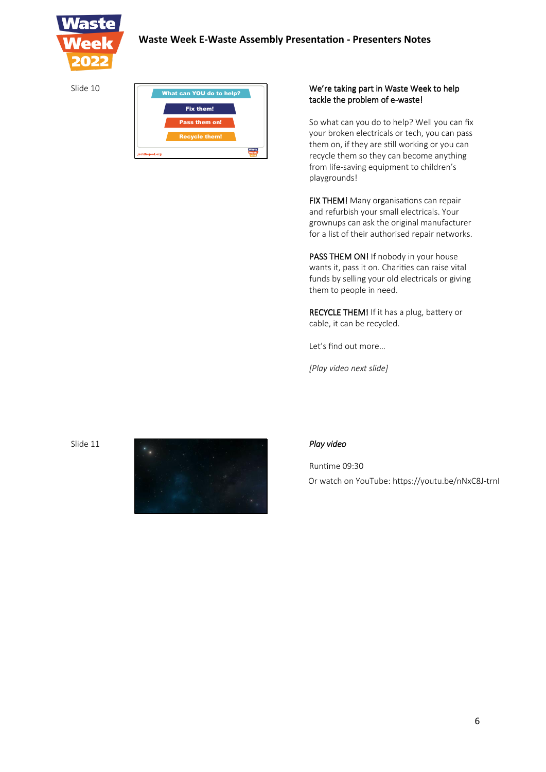

| Slide 10 | What can YOU do to help? |  |
|----------|--------------------------|--|
|          | <b>Fix them!</b>         |  |
|          | <b>Pass them on!</b>     |  |
|          | <b>Recycle them!</b>     |  |
|          | jointhepod.org           |  |

## We're taking part in Waste Week to help tackle the problem of e-waste!

So what can you do to help? Well you can fix your broken electricals or tech, you can pass them on, if they are still working or you can recycle them so they can become anything from life-saving equipment to children's playgrounds!

FIX THEM! Many organisations can repair and refurbish your small electricals. Your grownups can ask the original manufacturer for a list of their authorised repair networks.

PASS THEM ON! If nobody in your house wants it, pass it on. Charities can raise vital funds by selling your old electricals or giving them to people in need.

RECYCLE THEM! If it has a plug, battery or cable, it can be recycled.

Let's find out more…

*[Play video next slide]*



Runtime 09:30 Or watch on YouTube: https://youtu.be/nNxC8J-trnI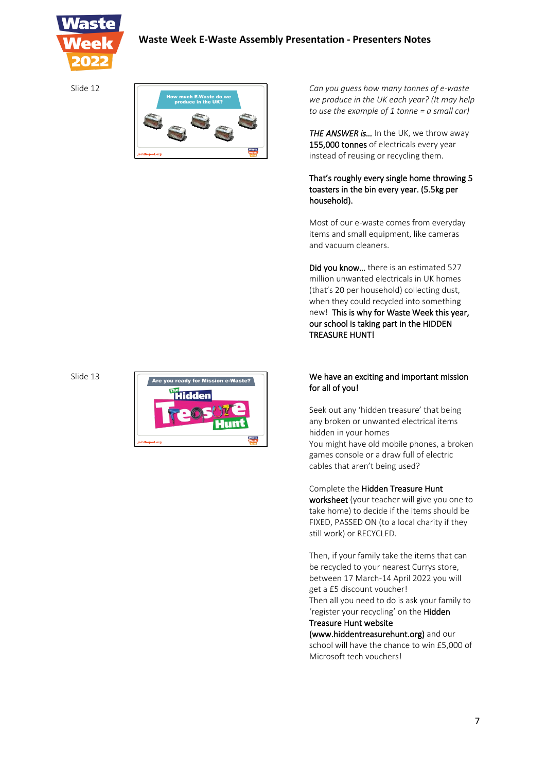

Slide 12



*Can you guess how many tonnes of e-waste we produce in the UK each year? (It may help to use the example of 1 tonne = a small car)*

*THE ANSWER is…* In the UK, we throw away 155,000 tonnes of electricals every year instead of reusing or recycling them.

## That's roughly every single home throwing 5 toasters in the bin every year. (5.5kg per household).

Most of our e-waste comes from everyday items and small equipment, like cameras and vacuum cleaners.

Did you know... there is an estimated 527 million unwanted electricals in UK homes (that's 20 per household) collecting dust, when they could recycled into something new! This is why for Waste Week this year, our school is taking part in the HIDDEN TREASURE HUNT!

## $\sqrt{\frac{1}{2} \cdot \frac{1}{2} \cdot \frac{1}{2}}$  We have an exciting and important mission for all of you!

Seek out any 'hidden treasure' that being any broken or unwanted electrical items hidden in your homes You might have old mobile phones, a broken games console or a draw full of electric cables that aren't being used?

## Complete the Hidden Treasure Hunt

worksheet (your teacher will give you one to take home) to decide if the items should be FIXED, PASSED ON (to a local charity if they still work) or RECYCLED.

Then, if your family take the items that can be recycled to your nearest Currys store, between 17 March-14 April 2022 you will get a £5 discount voucher! Then all you need to do is ask your family to 'register your recycling' on the Hidden

# Treasure Hunt website

(www.hiddentreasurehunt.org) and our school will have the chance to win £5,000 of Microsoft tech vouchers!

### Slide 13